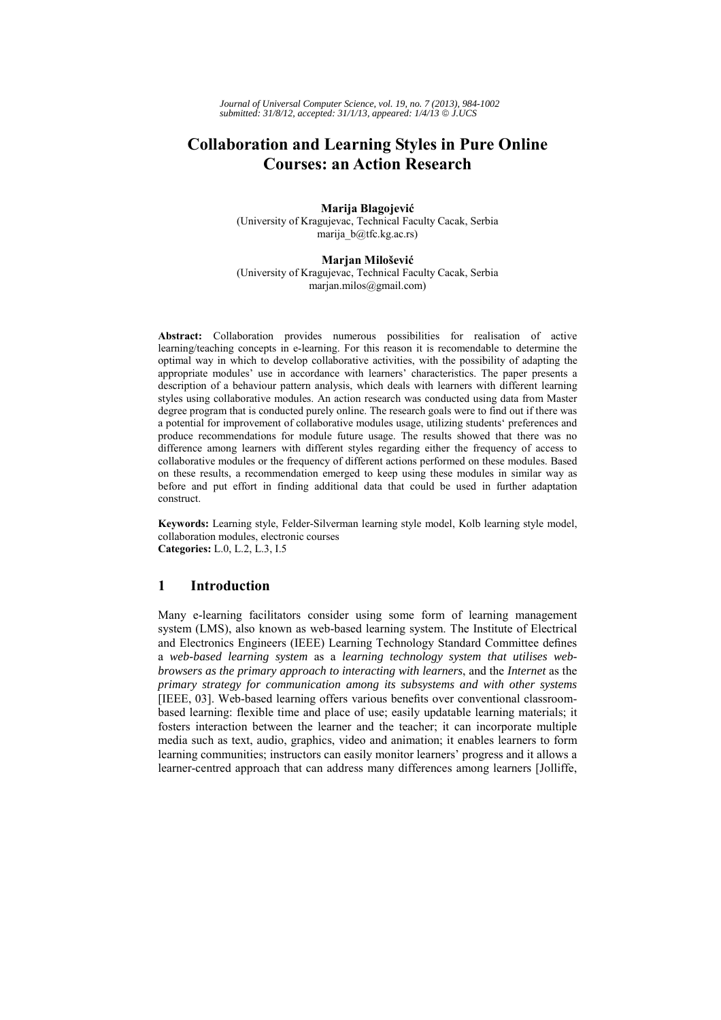# **Collaboration and Learning Styles in Pure Online Courses: an Action Research**

**Marija Blagojević** (University of Kragujevac, Technical Faculty Cacak, Serbia marija\_b@tfc.kg.ac.rs)

#### **Marjan Milošević**

(University of Kragujevac, Technical Faculty Cacak, Serbia marjan.milos@gmail.com)

**Abstract:** Collaboration provides numerous possibilities for realisation of active learning/teaching concepts in e-learning. For this reason it is recomendable to determine the optimal way in which to develop collaborative activities, with the possibility of adapting the appropriate modules' use in accordance with learners' characteristics. The paper presents a description of a behaviour pattern analysis, which deals with learners with different learning styles using collaborative modules. An action research was conducted using data from Master degree program that is conducted purely online. The research goals were to find out if there was a potential for improvement of collaborative modules usage, utilizing students' preferences and produce recommendations for module future usage. The results showed that there was no difference among learners with different styles regarding either the frequency of access to collaborative modules or the frequency of different actions performed on these modules. Based on these results, a recommendation emerged to keep using these modules in similar way as before and put effort in finding additional data that could be used in further adaptation construct.

**Keywords:** Learning style, Felder-Silverman learning style model, Kolb learning style model, collaboration modules, electronic courses **Categories:** L.0, L.2, L.3, I.5

# **1 Introduction**

Many e-learning facilitators consider using some form of learning management system (LMS), also known as web-based learning system. The Institute of Electrical and Electronics Engineers (IEEE) Learning Technology Standard Committee defines a *web-based learning system* as a *learning technology system that utilises webbrowsers as the primary approach to interacting with learners*, and the *Internet* as the *primary strategy for communication among its subsystems and with other systems* [IEEE, 03]. Web-based learning offers various benefits over conventional classroombased learning: flexible time and place of use; easily updatable learning materials; it fosters interaction between the learner and the teacher; it can incorporate multiple media such as text, audio, graphics, video and animation; it enables learners to form learning communities; instructors can easily monitor learners' progress and it allows a learner-centred approach that can address many differences among learners [Jolliffe,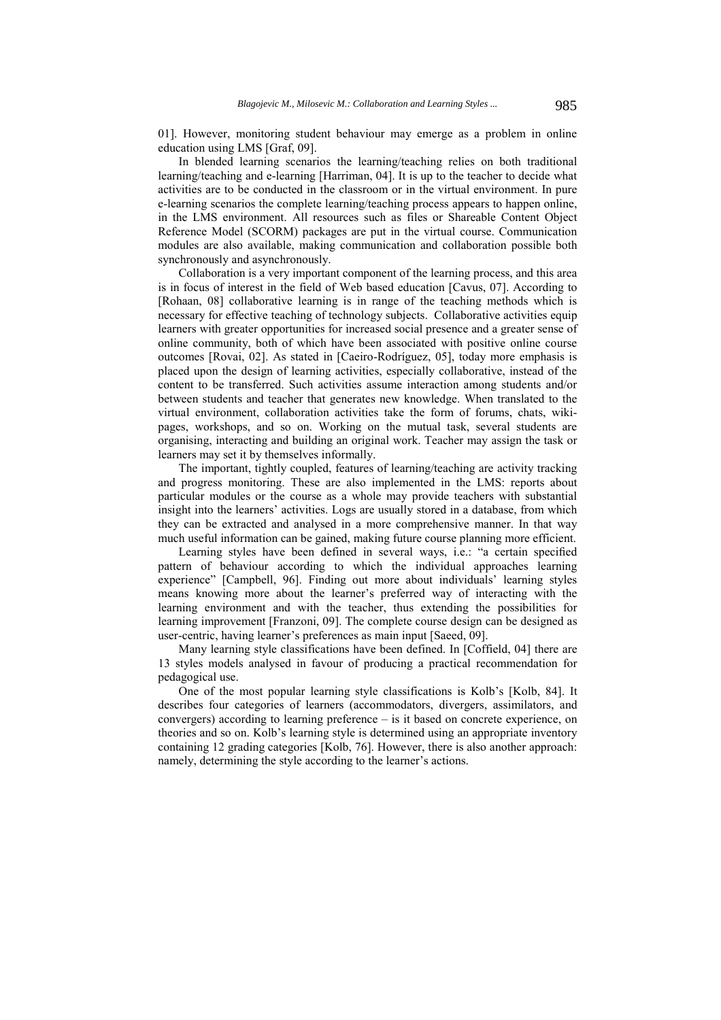01]. However, monitoring student behaviour may emerge as a problem in online education using LMS [Graf, 09].

In blended learning scenarios the learning/teaching relies on both traditional learning/teaching and e-learning [Harriman, 04]. It is up to the teacher to decide what activities are to be conducted in the classroom or in the virtual environment. In pure e-learning scenarios the complete learning/teaching process appears to happen online, in the LMS environment. All resources such as files or Shareable Content Object Reference Model (SCORM) packages are put in the virtual course. Communication modules are also available, making communication and collaboration possible both synchronously and asynchronously.

Collaboration is a very important component of the learning process, and this area is in focus of interest in the field of Web based education [Cavus, 07]. According to [Rohaan, 08] collaborative learning is in range of the teaching methods which is necessary for effective teaching of technology subjects. Collaborative activities equip learners with greater opportunities for increased social presence and a greater sense of online community, both of which have been associated with positive online course outcomes [Rovai, 02]. As stated in [Caeiro-Rodríguez, 05], today more emphasis is placed upon the design of learning activities, especially collaborative, instead of the content to be transferred. Such activities assume interaction among students and/or between students and teacher that generates new knowledge. When translated to the virtual environment, collaboration activities take the form of forums, chats, wikipages, workshops, and so on. Working on the mutual task, several students are organising, interacting and building an original work. Teacher may assign the task or learners may set it by themselves informally.

The important, tightly coupled, features of learning/teaching are activity tracking and progress monitoring. These are also implemented in the LMS: reports about particular modules or the course as a whole may provide teachers with substantial insight into the learners' activities. Logs are usually stored in a database, from which they can be extracted and analysed in a more comprehensive manner. In that way much useful information can be gained, making future course planning more efficient.

Learning styles have been defined in several ways, i.e.: "a certain specified pattern of behaviour according to which the individual approaches learning experience" [Campbell, 96]. Finding out more about individuals' learning styles means knowing more about the learner's preferred way of interacting with the learning environment and with the teacher, thus extending the possibilities for learning improvement [Franzoni, 09]. The complete course design can be designed as user-centric, having learner's preferences as main input [Saeed, 09].

Many learning style classifications have been defined. In [Coffield, 04] there are 13 styles models analysed in favour of producing a practical recommendation for pedagogical use.

One of the most popular learning style classifications is Kolb's [Kolb, 84]. It describes four categories of learners (accommodators, divergers, assimilators, and convergers) according to learning preference – is it based on concrete experience, on theories and so on. Kolb's learning style is determined using an appropriate inventory containing 12 grading categories [Kolb, 76]. However, there is also another approach: namely, determining the style according to the learner's actions.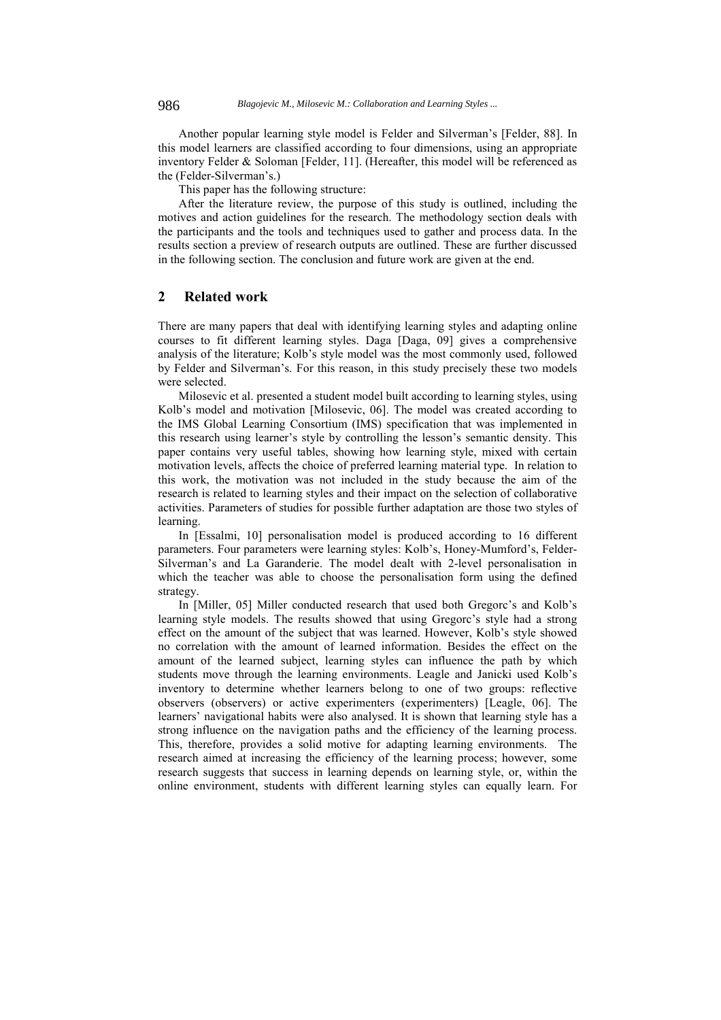Another popular learning style model is Felder and Silverman's [Felder, 88]. In this model learners are classified according to four dimensions, using an appropriate inventory Felder & Soloman [Felder, 11]. (Hereafter, this model will be referenced as the (Felder-Silverman's.)

This paper has the following structure:

After the literature review, the purpose of this study is outlined, including the motives and action guidelines for the research. The methodology section deals with the participants and the tools and techniques used to gather and process data. In the results section a preview of research outputs are outlined. These are further discussed in the following section. The conclusion and future work are given at the end.

## **2 Related work**

There are many papers that deal with identifying learning styles and adapting online courses to fit different learning styles. Daga [Daga, 09] gives a comprehensive analysis of the literature; Kolb's style model was the most commonly used, followed by Felder and Silverman's. For this reason, in this study precisely these two models were selected.

Milosevic et al. presented a student model built according to learning styles, using Kolb's model and motivation [Milosevic, 06]. The model was created according to the IMS Global Learning Consortium (IMS) specification that was implemented in this research using learner's style by controlling the lesson's semantic density. This paper contains very useful tables, showing how learning style, mixed with certain motivation levels, affects the choice of preferred learning material type. In relation to this work, the motivation was not included in the study because the aim of the research is related to learning styles and their impact on the selection of collaborative activities. Parameters of studies for possible further adaptation are those two styles of learning.

In [Essalmi, 10] personalisation model is produced according to 16 different parameters. Four parameters were learning styles: Kolb's, Honey-Mumford's, Felder-Silverman's and La Garanderie. The model dealt with 2-level personalisation in which the teacher was able to choose the personalisation form using the defined strategy.

In [Miller, 05] Miller conducted research that used both Gregorc's and Kolb's learning style models. The results showed that using Gregorc's style had a strong effect on the amount of the subject that was learned. However, Kolb's style showed no correlation with the amount of learned information. Besides the effect on the amount of the learned subject, learning styles can influence the path by which students move through the learning environments. Leagle and Janicki used Kolb's inventory to determine whether learners belong to one of two groups: reflective observers (observers) or active experimenters (experimenters) [Leagle, 06]. The learners' navigational habits were also analysed. It is shown that learning style has a strong influence on the navigation paths and the efficiency of the learning process. This, therefore, provides a solid motive for adapting learning environments. The research aimed at increasing the efficiency of the learning process; however, some research suggests that success in learning depends on learning style, or, within the online environment, students with different learning styles can equally learn. For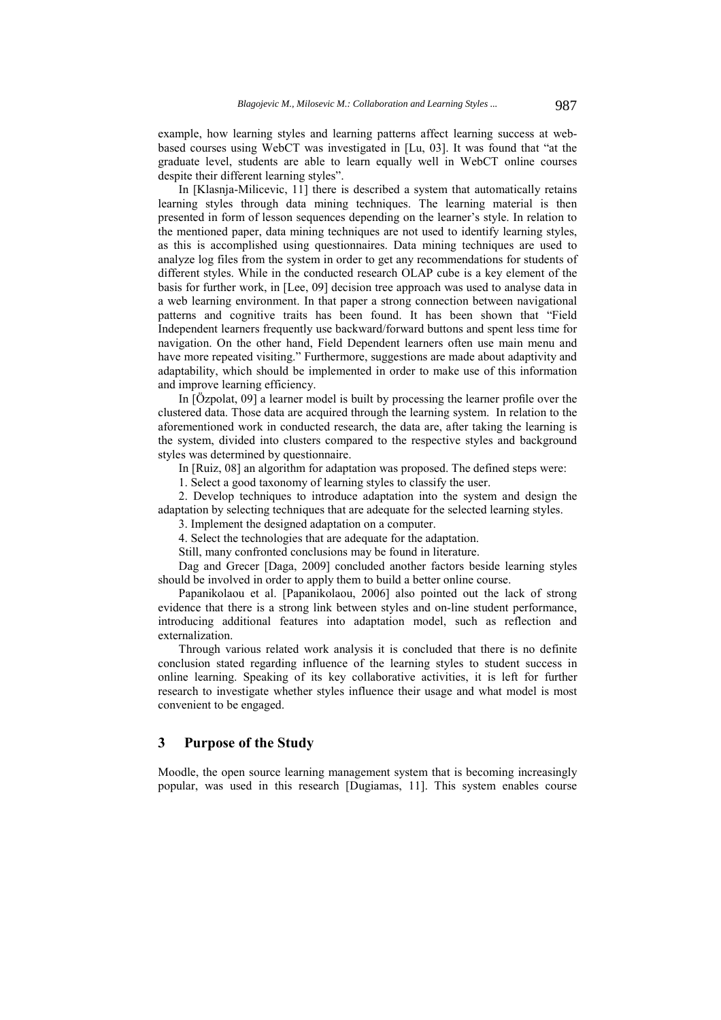example, how learning styles and learning patterns affect learning success at webbased courses using WebCT was investigated in [Lu, 03]. It was found that "at the graduate level, students are able to learn equally well in WebCT online courses despite their different learning styles".

In [Klasnja-Milicevic, 11] there is described a system that automatically retains learning styles through data mining techniques. The learning material is then presented in form of lesson sequences depending on the learner's style. In relation to the mentioned paper, data mining techniques are not used to identify learning styles, as this is accomplished using questionnaires. Data mining techniques are used to analyze log files from the system in order to get any recommendations for students of different styles. While in the conducted research OLAP cube is a key element of the basis for further work, in [Lee, 09] decision tree approach was used to analyse data in a web learning environment. In that paper a strong connection between navigational patterns and cognitive traits has been found. It has been shown that "Field Independent learners frequently use backward/forward buttons and spent less time for navigation. On the other hand, Field Dependent learners often use main menu and have more repeated visiting." Furthermore, suggestions are made about adaptivity and adaptability, which should be implemented in order to make use of this information and improve learning efficiency.

In [Özpolat, 09] a learner model is built by processing the learner profile over the clustered data. Those data are acquired through the learning system. In relation to the aforementioned work in conducted research, the data are, after taking the learning is the system, divided into clusters compared to the respective styles and background styles was determined by questionnaire.

In [Ruiz, 08] an algorithm for adaptation was proposed. The defined steps were:

1. Select a good taxonomy of learning styles to classify the user.

2. Develop techniques to introduce adaptation into the system and design the adaptation by selecting techniques that are adequate for the selected learning styles.

3. Implement the designed adaptation on a computer.

4. Select the technologies that are adequate for the adaptation.

Still, many confronted conclusions may be found in literature.

Dag and Grecer [Daga, 2009] concluded another factors beside learning styles should be involved in order to apply them to build a better online course.

Papanikolaou et al. [Papanikolaou, 2006] also pointed out the lack of strong evidence that there is a strong link between styles and on-line student performance, introducing additional features into adaptation model, such as reflection and externalization.

Through various related work analysis it is concluded that there is no definite conclusion stated regarding influence of the learning styles to student success in online learning. Speaking of its key collaborative activities, it is left for further research to investigate whether styles influence their usage and what model is most convenient to be engaged.

# **3 Purpose of the Study**

Moodle, the open source learning management system that is becoming increasingly popular, was used in this research [Dugiamas, 11]. This system enables course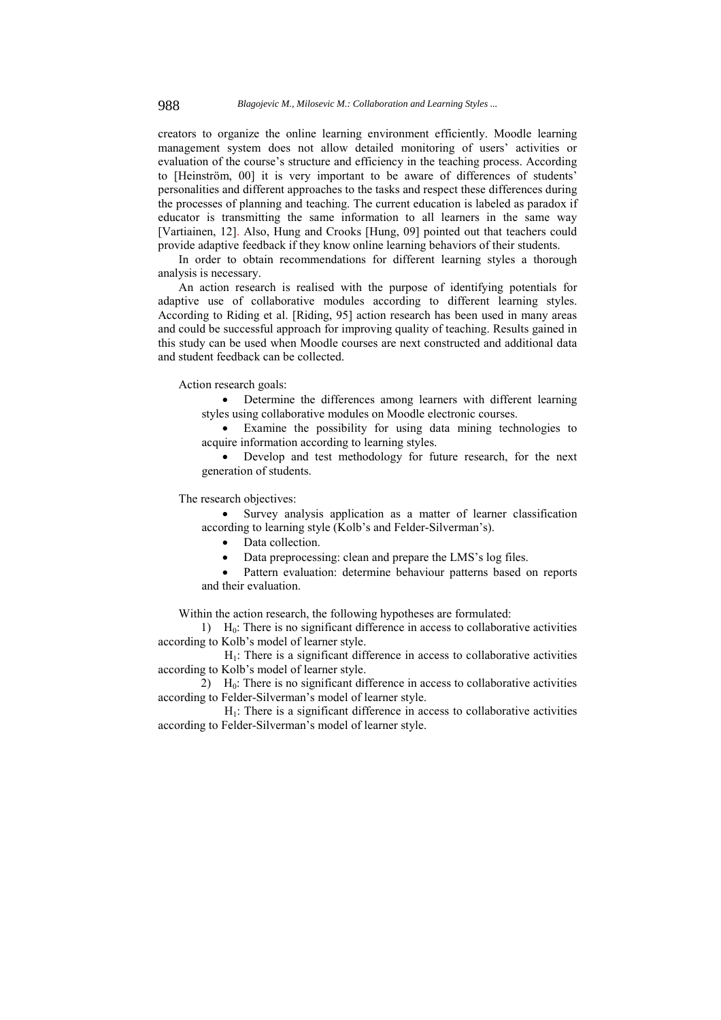creators to organize the online learning environment efficiently. Moodle learning management system does not allow detailed monitoring of users' activities or evaluation of the course's structure and efficiency in the teaching process. According to [Heinström, 00] it is very important to be aware of differences of students' personalities and different approaches to the tasks and respect these differences during the processes of planning and teaching. The current education is labeled as paradox if educator is transmitting the same information to all learners in the same way [Vartiainen, 12]. Also, Hung and Crooks [Hung, 09] pointed out that teachers could provide adaptive feedback if they know online learning behaviors of their students.

In order to obtain recommendations for different learning styles a thorough analysis is necessary.

An action research is realised with the purpose of identifying potentials for adaptive use of collaborative modules according to different learning styles. According to Riding et al. [Riding, 95] action research has been used in many areas and could be successful approach for improving quality of teaching. Results gained in this study can be used when Moodle courses are next constructed and additional data and student feedback can be collected.

#### Action research goals:

 Determine the differences among learners with different learning styles using collaborative modules on Moodle electronic courses.

 Examine the possibility for using data mining technologies to acquire information according to learning styles.

 Develop and test methodology for future research, for the next generation of students.

The research objectives:

 Survey analysis application as a matter of learner classification according to learning style (Kolb's and Felder-Silverman's).

- Data collection.
- Data preprocessing: clean and prepare the LMS's log files.
- Pattern evaluation: determine behaviour patterns based on reports and their evaluation.

Within the action research, the following hypotheses are formulated:

1)  $H_0$ : There is no significant difference in access to collaborative activities according to Kolb's model of learner style.

 $H<sub>1</sub>$ : There is a significant difference in access to collaborative activities according to Kolb's model of learner style.

2)  $H_0$ : There is no significant difference in access to collaborative activities according to Felder-Silverman's model of learner style.

 $H<sub>1</sub>$ : There is a significant difference in access to collaborative activities according to Felder-Silverman's model of learner style.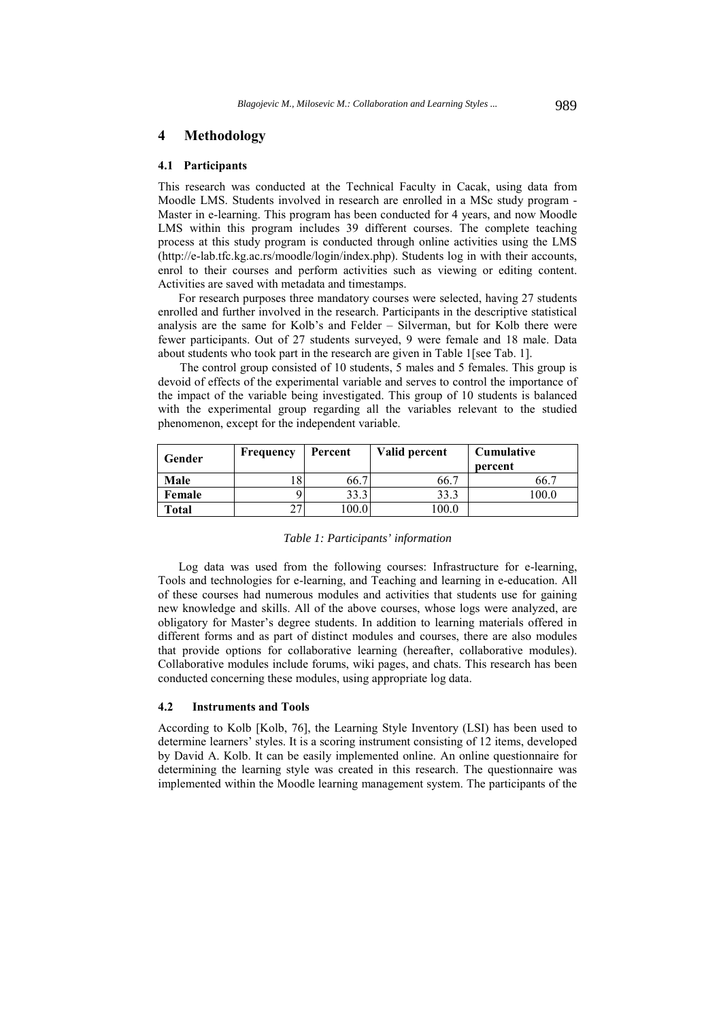### **4 Methodology**

### **4.1 Participants**

This research was conducted at the Technical Faculty in Cacak, using data from Moodle LMS. Students involved in research are enrolled in a MSc study program - Master in e-learning. This program has been conducted for 4 years, and now Moodle LMS within this program includes 39 different courses. The complete teaching process at this study program is conducted through online activities using the LMS (http://e-lab.tfc.kg.ac.rs/moodle/login/index.php). Students log in with their accounts, enrol to their courses and perform activities such as viewing or editing content. Activities are saved with metadata and timestamps.

For research purposes three mandatory courses were selected, having 27 students enrolled and further involved in the research. Participants in the descriptive statistical analysis are the same for Kolb's and Felder – Silverman, but for Kolb there were fewer participants. Out of 27 students surveyed, 9 were female and 18 male. Data about students who took part in the research are given in Table 1 [see Tab. 1].

The control group consisted of 10 students, 5 males and 5 females. This group is devoid of effects of the experimental variable and serves to control the importance of the impact of the variable being investigated. This group of 10 students is balanced with the experimental group regarding all the variables relevant to the studied phenomenon, except for the independent variable.

| Gender | Frequency | Percent | Valid percent | <b>Cumulative</b><br>percent |
|--------|-----------|---------|---------------|------------------------------|
| Male   |           | 66.7    | 66.7          | 66.                          |
| Female |           | 33.3    | 33.3          | 00.0                         |
| Total  | 27        | 100.0   | 100.0         |                              |

#### *Table 1: Participants' information*

Log data was used from the following courses: Infrastructure for e-learning, Tools and technologies for e-learning, and Teaching and learning in e-education. All of these courses had numerous modules and activities that students use for gaining new knowledge and skills. All of the above courses, whose logs were analyzed, are obligatory for Master's degree students. In addition to learning materials offered in different forms and as part of distinct modules and courses, there are also modules that provide options for collaborative learning (hereafter, collaborative modules). Collaborative modules include forums, wiki pages, and chats. This research has been conducted concerning these modules, using appropriate log data.

### **4.2 Instruments and Tools**

According to Kolb [Kolb, 76], the Learning Style Inventory (LSI) has been used to determine learners' styles. It is a scoring instrument consisting of 12 items, developed by David A. Kolb. It can be easily implemented online. An online questionnaire for determining the learning style was created in this research. The questionnaire was implemented within the Moodle learning management system. The participants of the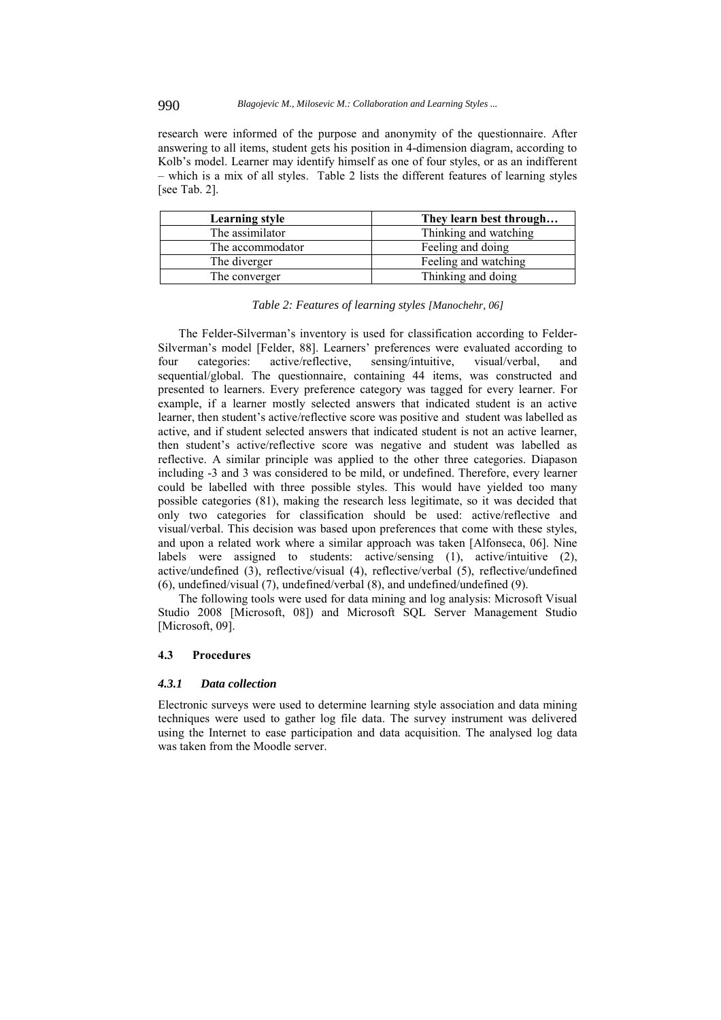research were informed of the purpose and anonymity of the questionnaire. After answering to all items, student gets his position in 4-dimension diagram, according to Kolb's model. Learner may identify himself as one of four styles, or as an indifferent – which is a mix of all styles. Table 2 lists the different features of learning styles [see Tab. 2].

| Learning style   | They learn best through |
|------------------|-------------------------|
| The assimilator  | Thinking and watching   |
| The accommodator | Feeling and doing       |
| The diverger     | Feeling and watching    |
| The converger    | Thinking and doing      |

|  |  | Table 2: Features of learning styles [Manochehr, 06] |  |
|--|--|------------------------------------------------------|--|
|  |  |                                                      |  |

The Felder-Silverman's inventory is used for classification according to Felder-Silverman's model [Felder, 88]. Learners' preferences were evaluated according to four categories: active/reflective, sensing/intuitive, visual/verbal, and sequential/global. The questionnaire, containing 44 items, was constructed and presented to learners. Every preference category was tagged for every learner. For example, if a learner mostly selected answers that indicated student is an active learner, then student's active/reflective score was positive and student was labelled as active, and if student selected answers that indicated student is not an active learner, then student's active/reflective score was negative and student was labelled as reflective. A similar principle was applied to the other three categories. Diapason including -3 and 3 was considered to be mild, or undefined. Therefore, every learner could be labelled with three possible styles. This would have yielded too many possible categories (81), making the research less legitimate, so it was decided that only two categories for classification should be used: active/reflective and visual/verbal. This decision was based upon preferences that come with these styles, and upon a related work where a similar approach was taken [Alfonseca, 06]. Nine labels were assigned to students: active/sensing (1), active/intuitive (2), active/undefined (3), reflective/visual (4), reflective/verbal (5), reflective/undefined (6), undefined/visual (7), undefined/verbal (8), and undefined/undefined (9).

The following tools were used for data mining and log analysis: Microsoft Visual Studio 2008 [Microsoft, 08]) and Microsoft SQL Server Management Studio [Microsoft, 09].

#### **4.3 Procedures**

### *4.3.1 Data collection*

Electronic surveys were used to determine learning style association and data mining techniques were used to gather log file data. The survey instrument was delivered using the Internet to ease participation and data acquisition. The analysed log data was taken from the Moodle server.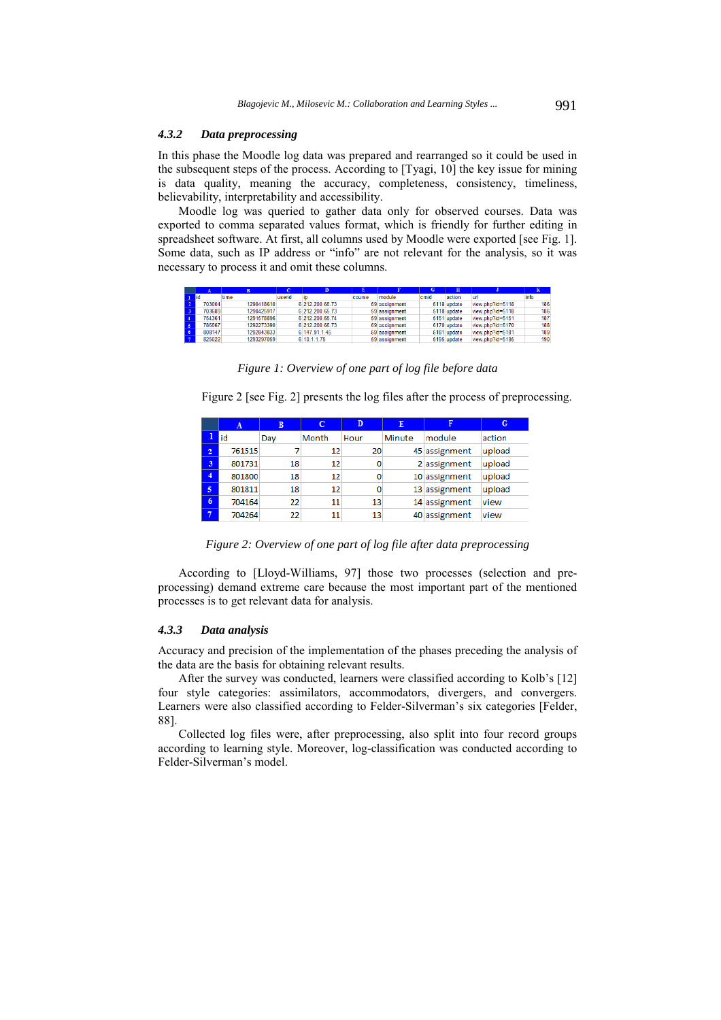### *4.3.2 Data preprocessing*

In this phase the Moodle log data was prepared and rearranged so it could be used in the subsequent steps of the process. According to [Tyagi, 10] the key issue for mining is data quality, meaning the accuracy, completeness, consistency, timeliness, believability, interpretability and accessibility.

Moodle log was queried to gather data only for observed courses. Data was exported to comma separated values format, which is friendly for further editing in spreadsheet software. At first, all columns used by Moodle were exported [see Fig. 1]. Some data, such as IP address or "info" are not relevant for the analysis, so it was necessary to process it and omit these columns.

|             |            |        |                 |        |               | G    | $\overline{\mathbf{H}}$ |                  |      |
|-------------|------------|--------|-----------------|--------|---------------|------|-------------------------|------------------|------|
| <b>I</b> id | time       | userid | ÏD              | course | module        | cmid | action                  | url              | info |
| 703004      | 1290418610 |        | 6 212.200.65.73 |        | 59 assignment |      | 5118 update             | view.php?id=5118 | 186  |
| 703689      | 1290425917 |        | 6 212 200 65 73 |        | 59 assignment |      | 5118 update             | view.php?id=5118 | 186  |
| 754361      | 1291578896 |        | 6 212.200.65.74 |        | 59 assignment |      | 5151 update             | view.php?id=5151 | 187  |
| 785567      | 1292273390 |        | 6 212.200.65.73 |        | 59 assignment |      | 5170 update             | view.php?id=5170 | 188  |
| 808147      | 1292843833 |        | 6 147.91.1.45   |        | 59 assignment |      | 5181 update             | view.php?id=5181 | 189  |
| 825022      | 1293297059 |        | 6 10.1.1.75     |        | 59 assignment |      | 5195 update             | view.php?id=5195 | 190  |

*Figure 1: Overview of one part of log file before data* 

Figure 2 [see Fig. 2] presents the log files after the process of preprocessing.

|                | A      | B   |       | D    | E      |               | G      |
|----------------|--------|-----|-------|------|--------|---------------|--------|
| ı              | lid    | Day | Month | Hour | Minute | module        | action |
| $\overline{2}$ | 761515 |     | 12    | 20   |        | 45 assignment | upload |
| 3              | 801731 | 18  | 12    | 0    |        | 2 assignment  | upload |
| 4              | 801800 | 18  | 12    | 0    |        | 10 assignment | upload |
| 5              | 801811 | 18  | 12    | 0    |        | 13 assignment | upload |
| 6              | 704164 | 22  | 11    | 13   |        | 14 assignment | view   |
|                | 704264 | 22  | 11    | 13   |        | 40 assignment | view   |

*Figure 2: Overview of one part of log file after data preprocessing* 

According to [Lloyd-Williams, 97] those two processes (selection and preprocessing) demand extreme care because the most important part of the mentioned processes is to get relevant data for analysis.

### *4.3.3 Data analysis*

Accuracy and precision of the implementation of the phases preceding the analysis of the data are the basis for obtaining relevant results.

After the survey was conducted, learners were classified according to Kolb's [12] four style categories: assimilators, accommodators, divergers, and convergers. Learners were also classified according to Felder-Silverman's six categories [Felder, 88].

Collected log files were, after preprocessing, also split into four record groups according to learning style. Moreover, log-classification was conducted according to Felder-Silverman's model.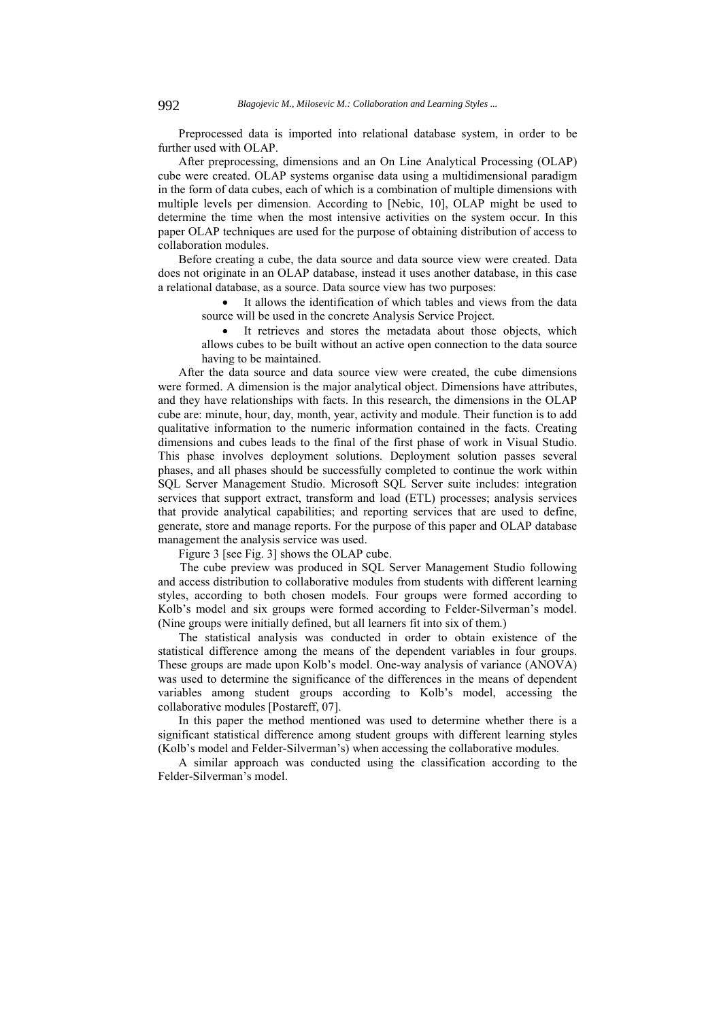Preprocessed data is imported into relational database system, in order to be further used with OLAP.

After preprocessing, dimensions and an On Line Analytical Processing (OLAP) cube were created. OLAP systems organise data using a multidimensional paradigm in the form of data cubes, each of which is a combination of multiple dimensions with multiple levels per dimension. According to [Nebic, 10], OLAP might be used to determine the time when the most intensive activities on the system occur. In this paper OLAP techniques are used for the purpose of obtaining distribution of access to collaboration modules.

Before creating a cube, the data source and data source view were created. Data does not originate in an OLAP database, instead it uses another database, in this case a relational database, as a source. Data source view has two purposes:

> It allows the identification of which tables and views from the data source will be used in the concrete Analysis Service Project.

> It retrieves and stores the metadata about those objects, which allows cubes to be built without an active open connection to the data source having to be maintained.

After the data source and data source view were created, the cube dimensions were formed. A dimension is the major analytical object. Dimensions have attributes, and they have relationships with facts. In this research, the dimensions in the OLAP cube are: minute, hour, day, month, year, activity and module. Тheir function is to add qualitative information to the numeric information contained in the facts. Creating dimensions and cubes leads to the final of the first phase of work in Visual Studio. This phase involves deployment solutions. Deployment solution passes several phases, and all phases should be successfully completed to continue the work within SQL Server Management Studio. Microsoft SQL Server suite includes: integration services that support extract, transform and load (ETL) processes; analysis services that provide analytical capabilities; and reporting services that are used to define, generate, store and manage reports. For the purpose of this paper and OLAP database management the analysis service was used.

Figure 3 [see Fig. 3] shows the OLAP cube.

The cube preview was produced in SQL Server Management Studio following and access distribution to collaborative modules from students with different learning styles, according to both chosen models. Four groups were formed according to Kolb's model and six groups were formed according to Felder-Silverman's model. (Nine groups were initially defined, but all learners fit into six of them.)

The statistical analysis was conducted in order to obtain existence of the statistical difference among the means of the dependent variables in four groups. These groups are made upon Kolb's model. One-way analysis of variance (ANOVA) was used to determine the significance of the differences in the means of dependent variables among student groups according to Kolb's model, accessing the collaborative modules [Postareff, 07].

In this paper the method mentioned was used to determine whether there is a significant statistical difference among student groups with different learning styles (Kolb's model and Felder-Silverman's) when accessing the collaborative modules.

A similar approach was conducted using the classification according to the Felder-Silverman's model.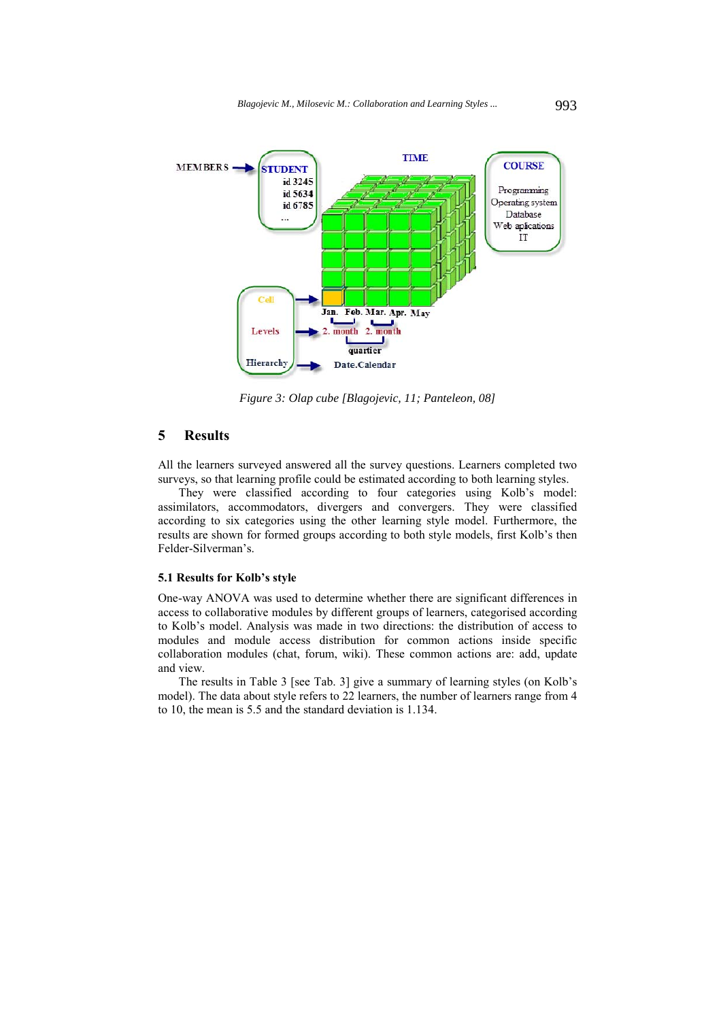

*Figure 3: Olap cube [Blagojevic, 11; Panteleon, 08]*

# **5 Results**

All the learners surveyed answered all the survey questions. Learners completed two surveys, so that learning profile could be estimated according to both learning styles.

They were classified according to four categories using Kolb's model: assimilators, accommodators, divergers and convergers. They were classified according to six categories using the other learning style model. Furthermore, the results are shown for formed groups according to both style models, first Kolb's then Felder-Silverman's.

#### **5.1 Results for Kolb's style**

One-way ANOVA was used to determine whether there are significant differences in access to collaborative modules by different groups of learners, categorised according to Kolb's model. Analysis was made in two directions: the distribution of access to modules and module access distribution for common actions inside specific collaboration modules (chat, forum, wiki). These common actions are: add, update and view.

The results in Table 3 [see Tab. 3] give a summary of learning styles (on Kolb's model). The data about style refers to 22 learners, the number of learners range from 4 to 10, the mean is 5.5 and the standard deviation is 1.134.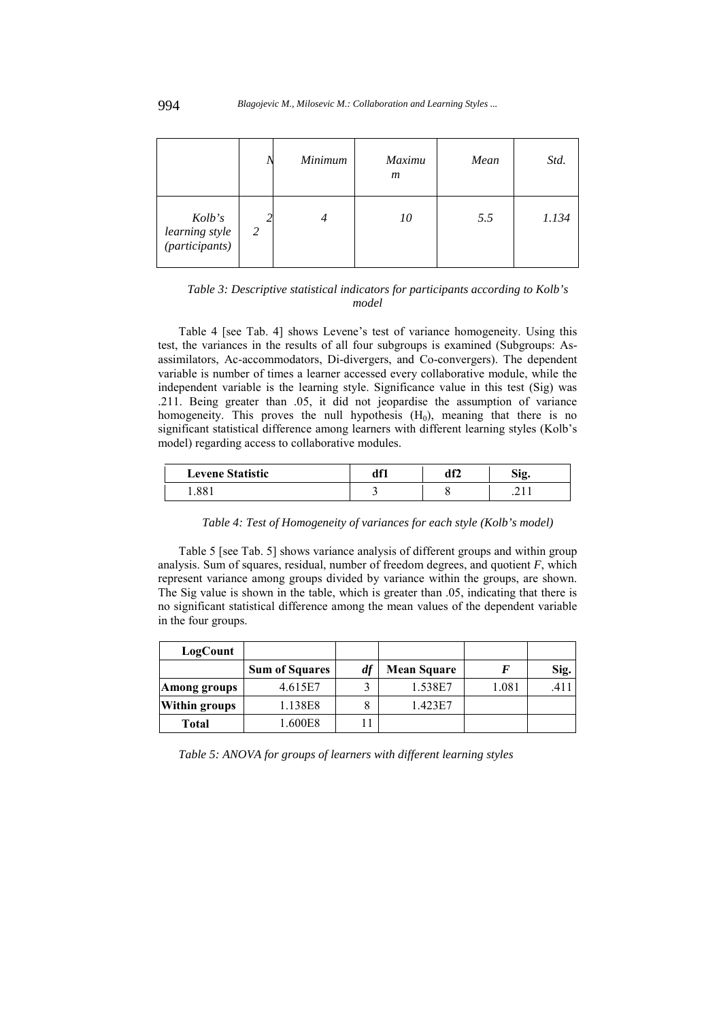|                                            |   | Minimum | <b>Maximu</b><br>$\boldsymbol{m}$ | Mean | Std.  |
|--------------------------------------------|---|---------|-----------------------------------|------|-------|
| Kolb's<br>learning style<br>(participants) | 2 | 4       | 10                                | 5.5  | 1.134 |

*Table 3: Descriptive statistical indicators for participants according to Kolb's model* 

Table 4 [see Tab. 4] shows Levene's test of variance homogeneity. Using this test, the variances in the results of all four subgroups is examined (Subgroups: Asassimilators, Ac-accommodators, Di-divergers, and Co-convergers). The dependent variable is number of times a learner accessed every collaborative module, while the independent variable is the learning style. Significance value in this test (Sig) was .211. Being greater than .05, it did not jeopardise the assumption of variance homogeneity. This proves the null hypothesis  $(H_0)$ , meaning that there is no significant statistical difference among learners with different learning styles (Kolb's model) regarding access to collaborative modules.

| <b>Levene Statistic</b> | df1 | df2 | Sig.    |  |
|-------------------------|-----|-----|---------|--|
| 1.881                   |     |     | د د سم. |  |

*Table 4: Test of Homogeneity of variances for each style (Kolb's model)* 

Table 5 [see Tab. 5] shows variance analysis of different groups and within group analysis. Sum of squares, residual, number of freedom degrees, and quotient *F*, which represent variance among groups divided by variance within the groups, are shown. The Sig value is shown in the table, which is greater than .05, indicating that there is no significant statistical difference among the mean values of the dependent variable in the four groups.

| LogCount             |                       |    |                    |       |      |
|----------------------|-----------------------|----|--------------------|-------|------|
|                      | <b>Sum of Squares</b> | df | <b>Mean Square</b> |       | Sig. |
| Among groups         | 4.615E7               |    | 1.538E7            | 1.081 |      |
| <b>Within groups</b> | 1.138E8               |    | 1.423E7            |       |      |
| <b>Total</b>         | .600E8                |    |                    |       |      |

*Table 5: ANOVA for groups of learners with different learning styles*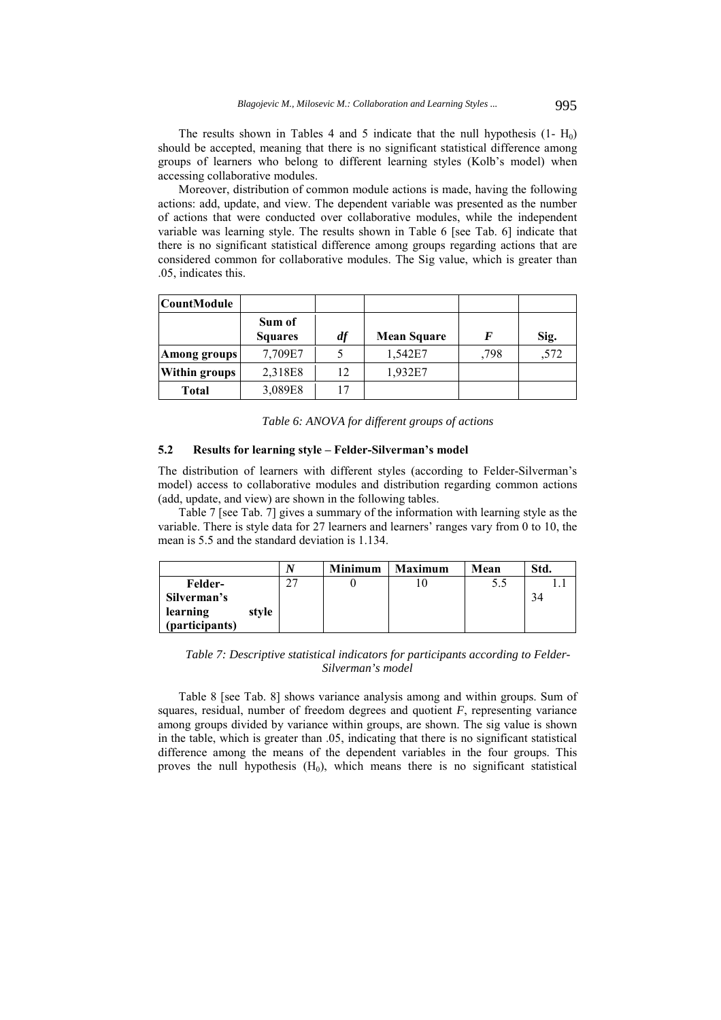The results shown in Tables 4 and 5 indicate that the null hypothesis  $(1 - H_0)$ should be accepted, meaning that there is no significant statistical difference among groups of learners who belong to different learning styles (Kolb's model) when accessing collaborative modules.

Moreover, distribution of common module actions is made, having the following actions: add, update, and view. The dependent variable was presented as the number of actions that were conducted over collaborative modules, while the independent variable was learning style. The results shown in Table 6 [see Tab. 6] indicate that there is no significant statistical difference among groups regarding actions that are considered common for collaborative modules. The Sig value, which is greater than .05, indicates this.

| <b>CountModule</b>   |                          |    |                    |      |      |
|----------------------|--------------------------|----|--------------------|------|------|
|                      | Sum of<br><b>Squares</b> | df | <b>Mean Square</b> | F    | Sig. |
| Among groups         | 7,709E7                  |    | 1,542E7            | .798 | ,572 |
| <b>Within groups</b> | 2,318E8                  | 12 | 1,932E7            |      |      |
| <b>Total</b>         | 3,089E8                  | 17 |                    |      |      |

*Table 6: ANOVA for different groups of actions* 

### **5.2 Results for learning style – Felder-Silverman's model**

The distribution of learners with different styles (according to Felder-Silverman's model) access to collaborative modules and distribution regarding common actions (add, update, and view) are shown in the following tables.

Table 7 [see Tab. 7] gives a summary of the information with learning style as the variable. There is style data for 27 learners and learners' ranges vary from 0 to 10, the mean is 5.5 and the standard deviation is 1.134.

|                |       |    | Minimum | <b>Maximum</b> | Mean | Std. |
|----------------|-------|----|---------|----------------|------|------|
| <b>Felder-</b> |       | າາ |         |                |      |      |
| Silverman's    |       |    |         |                |      |      |
| learning       | style |    |         |                |      |      |
| (participants) |       |    |         |                |      |      |

*Table 7: Descriptive statistical indicators for participants according to Felder-Silverman's model* 

Table 8 [see Tab. 8] shows variance analysis among and within groups. Sum of squares, residual, number of freedom degrees and quotient *F*, representing variance among groups divided by variance within groups, are shown. The sig value is shown in the table, which is greater than .05, indicating that there is no significant statistical difference among the means of the dependent variables in the four groups. This proves the null hypothesis  $(H_0)$ , which means there is no significant statistical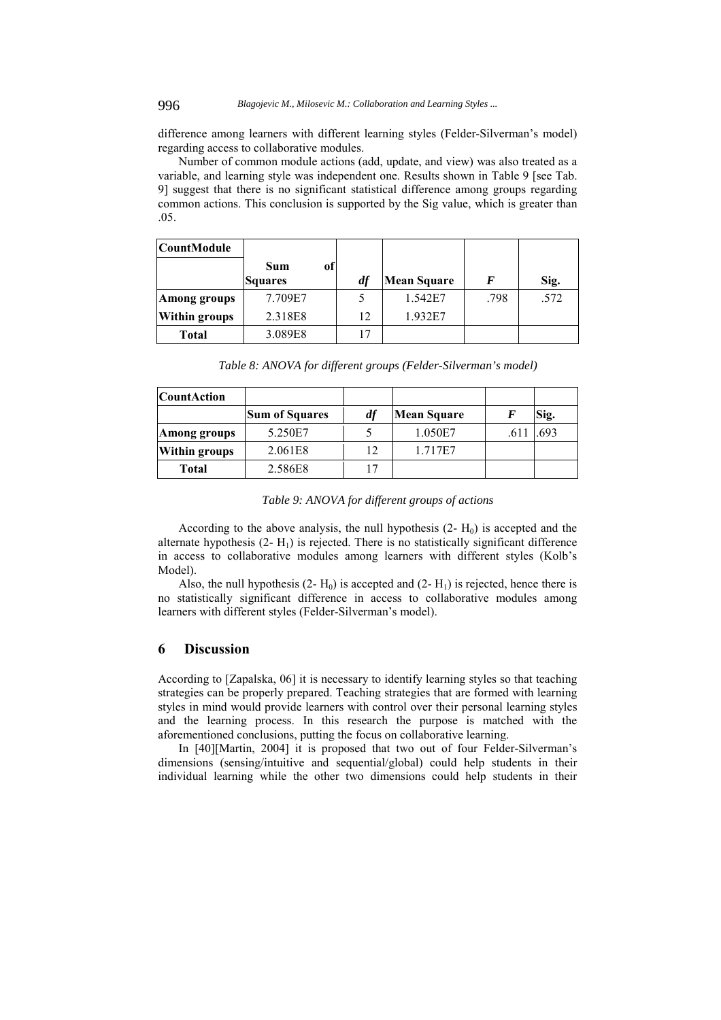difference among learners with different learning styles (Felder-Silverman's model) regarding access to collaborative modules.

Number of common module actions (add, update, and view) was also treated as a variable, and learning style was independent one. Results shown in Table 9 [see Tab. 9] suggest that there is no significant statistical difference among groups regarding common actions. This conclusion is supported by the Sig value, which is greater than .05.

| <b>CountModule</b>   |                      |        |                    |      |      |
|----------------------|----------------------|--------|--------------------|------|------|
|                      | of<br>Sum<br>Squares | df     | <b>Mean Square</b> | F    | Sig. |
| Among groups         | 7.709E7              |        | 1.542E7            | .798 | .572 |
| <b>Within groups</b> | 2.318E8              | 12     | 1.932E7            |      |      |
| <b>Total</b>         | 3.089E8              | $\tau$ |                    |      |      |

*Table 8: ANOVA for different groups (Felder-Silverman's model)* 

| <b>CountAction</b>   |                |    |             |      |
|----------------------|----------------|----|-------------|------|
|                      | Sum of Squares | df | Mean Square | Sig. |
| Among groups         | 5.250E7        |    | 1.050E7     | .693 |
| <b>Within groups</b> | 2.061E8        | 12 | 1.717E7     |      |
| Total                | 2.586E8        | 17 |             |      |

*Table 9: ANOVA for different groups of actions* 

According to the above analysis, the null hypothesis  $(2 - H_0)$  is accepted and the alternate hypothesis  $(2 - H_1)$  is rejected. There is no statistically significant difference in access to collaborative modules among learners with different styles (Kolb's Model).

Also, the null hypothesis  $(2 - H_0)$  is accepted and  $(2 - H_1)$  is rejected, hence there is no statistically significant difference in access to collaborative modules among learners with different styles (Felder-Silverman's model).

# **6 Discussion**

According to [Zapalska, 06] it is necessary to identify learning styles so that teaching strategies can be properly prepared. Teaching strategies that are formed with learning styles in mind would provide learners with control over their personal learning styles and the learning process. In this research the purpose is matched with the aforementioned conclusions, putting the focus on collaborative learning.

In [40][Martin, 2004] it is proposed that two out of four Felder-Silverman's dimensions (sensing/intuitive and sequential/global) could help students in their individual learning while the other two dimensions could help students in their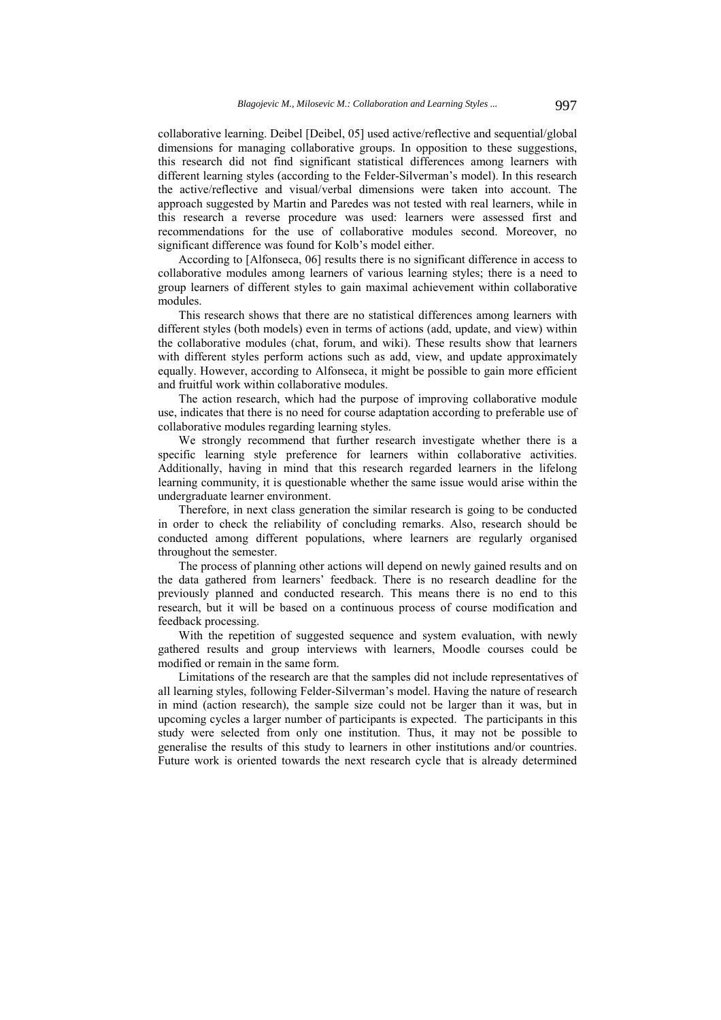collaborative learning. Deibel [Deibel, 05] used active/reflective and sequential/global dimensions for managing collaborative groups. In opposition to these suggestions, this research did not find significant statistical differences among learners with different learning styles (according to the Felder-Silverman's model). In this research the active/reflective and visual/verbal dimensions were taken into account. The approach suggested by Martin and Paredes was not tested with real learners, while in this research a reverse procedure was used: learners were assessed first and recommendations for the use of collaborative modules second. Moreover, no significant difference was found for Kolb's model either.

According to [Alfonseca, 06] results there is no significant difference in access to collaborative modules among learners of various learning styles; there is a need to group learners of different styles to gain maximal achievement within collaborative modules.

This research shows that there are no statistical differences among learners with different styles (both models) even in terms of actions (add, update, and view) within the collaborative modules (chat, forum, and wiki). These results show that learners with different styles perform actions such as add, view, and update approximately equally. However, according to Alfonseca, it might be possible to gain more efficient and fruitful work within collaborative modules.

The action research, which had the purpose of improving collaborative module use, indicates that there is no need for course adaptation according to preferable use of collaborative modules regarding learning styles.

We strongly recommend that further research investigate whether there is a specific learning style preference for learners within collaborative activities. Additionally, having in mind that this research regarded learners in the lifelong learning community, it is questionable whether the same issue would arise within the undergraduate learner environment.

Therefore, in next class generation the similar research is going to be conducted in order to check the reliability of concluding remarks. Also, research should be conducted among different populations, where learners are regularly organised throughout the semester.

The process of planning other actions will depend on newly gained results and on the data gathered from learners' feedback. There is no research deadline for the previously planned and conducted research. This means there is no end to this research, but it will be based on a continuous process of course modification and feedback processing.

With the repetition of suggested sequence and system evaluation, with newly gathered results and group interviews with learners, Moodle courses could be modified or remain in the same form.

Limitations of the research are that the samples did not include representatives of all learning styles, following Felder-Silverman's model. Having the nature of research in mind (action research), the sample size could not be larger than it was, but in upcoming cycles a larger number of participants is expected. The participants in this study were selected from only one institution. Thus, it may not be possible to generalise the results of this study to learners in other institutions and/or countries. Future work is oriented towards the next research cycle that is already determined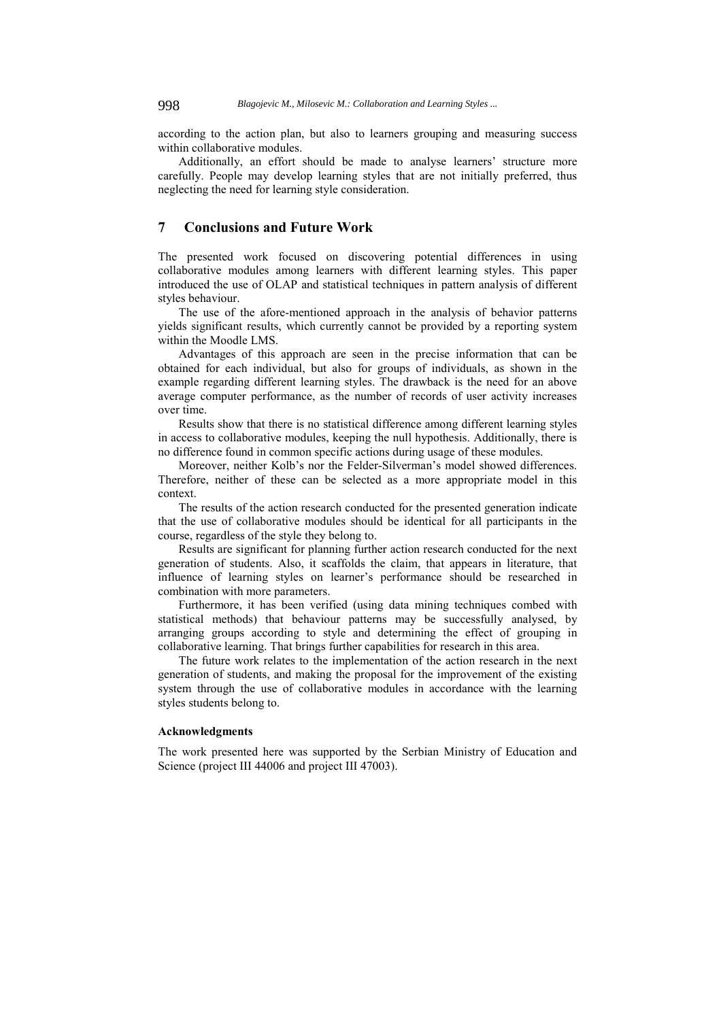according to the action plan, but also to learners grouping and measuring success within collaborative modules.

Additionally, an effort should be made to analyse learners' structure more carefully. People may develop learning styles that are not initially preferred, thus neglecting the need for learning style consideration.

# **7 Conclusions and Future Work**

The presented work focused on discovering potential differences in using collaborative modules among learners with different learning styles. This paper introduced the use of OLAP and statistical techniques in pattern analysis of different styles behaviour.

The use of the afore-mentioned approach in the analysis of behavior patterns yields significant results, which currently cannot be provided by a reporting system within the Moodle LMS.

Advantages of this approach are seen in the precise information that can be obtained for each individual, but also for groups of individuals, as shown in the example regarding different learning styles. The drawback is the need for an above average computer performance, as the number of records of user activity increases over time.

Results show that there is no statistical difference among different learning styles in access to collaborative modules, keeping the null hypothesis. Additionally, there is no difference found in common specific actions during usage of these modules.

Moreover, neither Kolb's nor the Felder-Silverman's model showed differences. Therefore, neither of these can be selected as a more appropriate model in this context.

The results of the action research conducted for the presented generation indicate that the use of collaborative modules should be identical for all participants in the course, regardless of the style they belong to.

Results are significant for planning further action research conducted for the next generation of students. Also, it scaffolds the claim, that appears in literature, that influence of learning styles on learner's performance should be researched in combination with more parameters.

Furthermore, it has been verified (using data mining techniques combed with statistical methods) that behaviour patterns may be successfully analysed, by arranging groups according to style and determining the effect of grouping in collaborative learning. That brings further capabilities for research in this area.

The future work relates to the implementation of the action research in the next generation of students, and making the proposal for the improvement of the existing system through the use of collaborative modules in accordance with the learning styles students belong to.

#### **Acknowledgments**

The work presented here was supported by the Serbian Ministry of Education and Science (project III 44006 and project III 47003).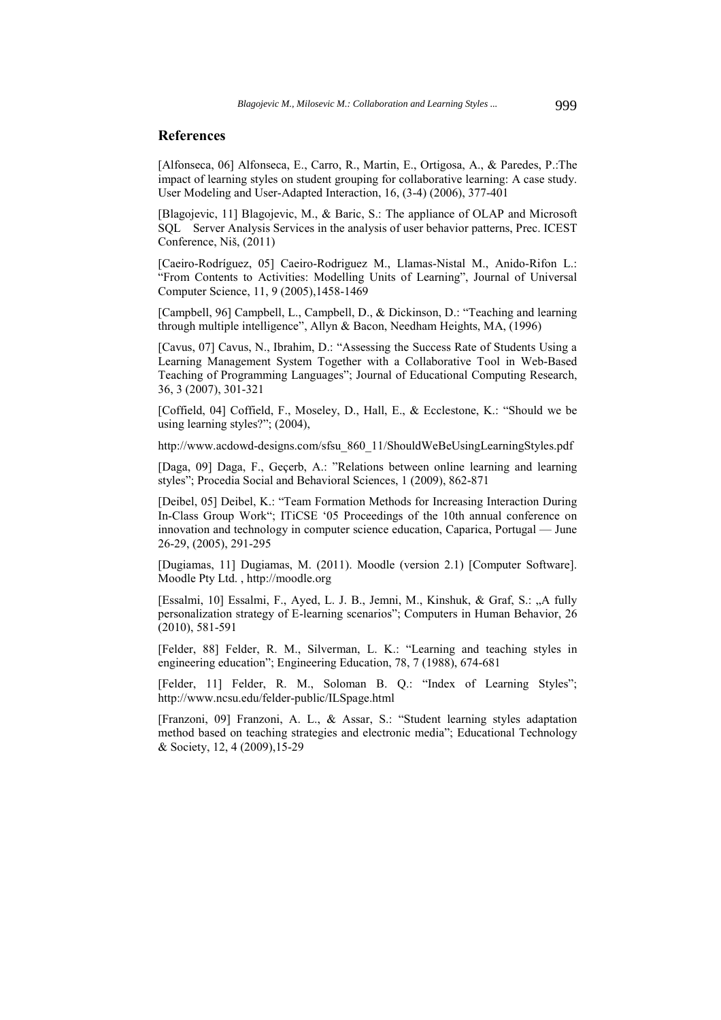## **References**

[Alfonseca, 06] Alfonseca, E., Carro, R., Martin, E., Ortigosa, A., & Paredes, P.:The impact of learning styles on student grouping for collaborative learning: A case study. User Modeling and User-Adapted Interaction, 16, (3-4) (2006), 377-401

[Blagojevic, 11] Blagojevic, M., & Baric, S.: The appliance of OLAP and Microsoft SQL Server Analysis Services in the analysis of user behavior patterns, Prec. ICEST Conference, Niš, (2011)

[Caeiro-Rodríguez, 05] Caeiro-Rodriguez M., Llamas-Nistal M., Anido-Rifon L.: "From Contents to Activities: Modelling Units of Learning", Journal of Universal Computer Science, 11, 9 (2005),1458-1469

[Campbell, 96] Campbell, L., Campbell, D., & Dickinson, D.: "Teaching and learning through multiple intelligence", Allyn & Bacon, Needham Heights, MA, (1996)

[Cavus, 07] Cavus, N., Ibrahim, D.: "Assessing the Success Rate of Students Using a Learning Management System Together with a Collaborative Tool in Web-Based Teaching of Programming Languages"; Journal of Educational Computing Research, 36, 3 (2007), 301-321

[Coffield, 04] Coffield, F., Moseley, D., Hall, E., & Ecclestone, K.: "Should we be using learning styles?"; (2004),

http://www.acdowd-designs.com/sfsu\_860\_11/ShouldWeBeUsingLearningStyles.pdf

[Daga, 09] Daga, F., Geçerb, A.: "Relations between online learning and learning styles"; Procedia Social and Behavioral Sciences, 1 (2009), 862-871

[Deibel, 05] Deibel, K.: "Team Formation Methods for Increasing Interaction During In-Class Group Work"; ITiCSE '05 Proceedings of the 10th annual conference on innovation and technology in computer science education, Caparica, Portugal — June 26-29, (2005), 291-295

[Dugiamas, 11] Dugiamas, M. (2011). Moodle (version 2.1) [Computer Software]. Moodle Pty Ltd. , http://moodle.org

[Essalmi, 10] Essalmi, F., Ayed, L. J. B., Jemni, M., Kinshuk, & Graf, S.: "A fully personalization strategy of E-learning scenarios"; Computers in Human Behavior, 26 (2010), 581-591

[Felder, 88] Felder, R. M., Silverman, L. K.: "Learning and teaching styles in engineering education"; Engineering Education, 78, 7 (1988), 674-681

[Felder, 11] Felder, R. M., Soloman B. Q.: "Index of Learning Styles"; http://www.ncsu.edu/felder-public/ILSpage.html

[Franzoni, 09] Franzoni, A. L., & Assar, S.: "Student learning styles adaptation method based on teaching strategies and electronic media"; Educational Technology & Society, 12, 4 (2009),15-29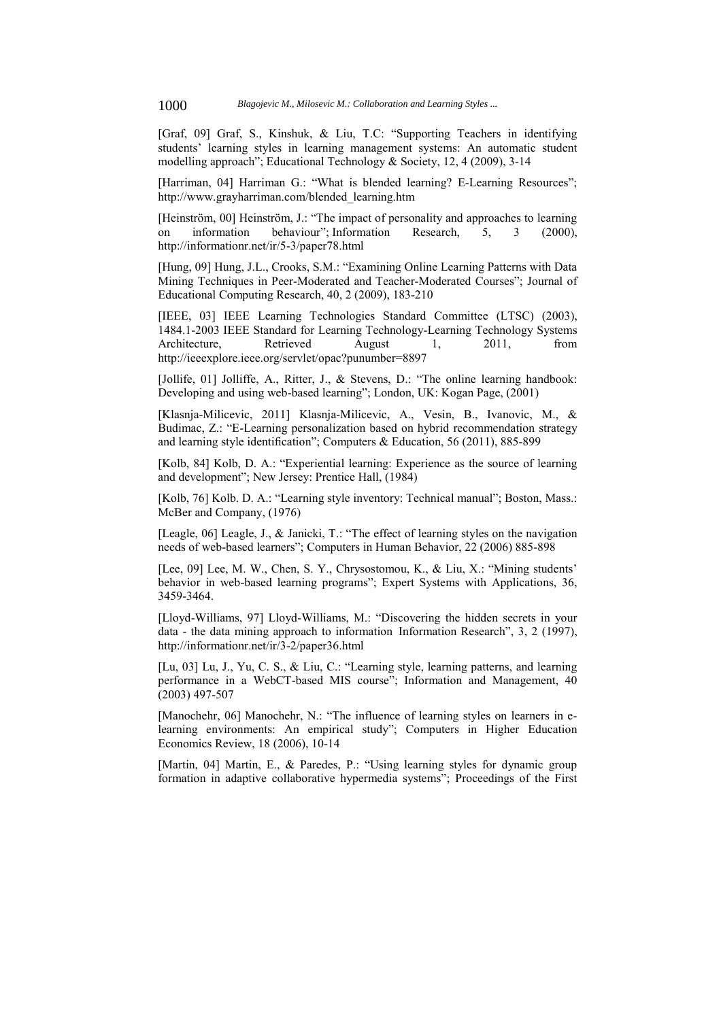[Graf, 09] Graf, S., Kinshuk, & Liu, T.C: "Supporting Teachers in identifying students' learning styles in learning management systems: An automatic student modelling approach"; Educational Technology & Society, 12, 4 (2009), 3-14

[Harriman, 04] Harriman G.: "What is blended learning? E-Learning Resources"; http://www.grayharriman.com/blended\_learning.htm

[Heinström, 00] Heinström, J.: "The impact of personality and approaches to learning on information behaviour"; Information Research, 5, 3 (2000), http://informationr.net/ir/5-3/paper78.html

[Hung, 09] Hung, J.L., Crooks, S.M.: "Examining Online Learning Patterns with Data Mining Techniques in Peer-Moderated and Teacher-Moderated Courses"; Journal of Educational Computing Research, 40, 2 (2009), 183-210

[IEEE, 03] IEEE Learning Technologies Standard Committee (LTSC) (2003), 1484.1-2003 IEEE Standard for Learning Technology-Learning Technology Systems Architecture, Retrieved August 1, 2011, from http://ieeexplore.ieee.org/servlet/opac?punumber=8897

[Jollife, 01] Jolliffe, A., Ritter, J., & Stevens, D.: "The online learning handbook: Developing and using web-based learning"; London, UK: Kogan Page, (2001)

[Klasnja-Milicevic, 2011] Klasnja-Milicevic, A., Vesin, B., Ivanovic, M., & Budimac, Z.: "E-Learning personalization based on hybrid recommendation strategy and learning style identification"; Computers & Education, 56 (2011), 885-899

[Kolb, 84] Kolb, D. A.: "Experiential learning: Experience as the source of learning and development"; New Jersey: Prentice Hall, (1984)

[Kolb, 76] Kolb. D. A.: "Learning style inventory: Technical manual"; Boston, Mass.: McBer and Company, (1976)

[Leagle, 06] Leagle, J., & Janicki, T.: "The effect of learning styles on the navigation needs of web-based learners"; Computers in Human Behavior, 22 (2006) 885-898

[Lee, 09] Lee, M. W., Chen, S. Y., Chrysostomou, K., & Liu, X.: "Mining students' behavior in web-based learning programs"; Expert Systems with Applications, 36, 3459-3464.

[Lloyd-Williams, 97] Lloyd-Williams, M.: "Discovering the hidden secrets in your data - the data mining approach to information Information Research", 3, 2 (1997), http://informationr.net/ir/3-2/paper36.html

[Lu, 03] Lu, J., Yu, C. S., & Liu, C.: "Learning style, learning patterns, and learning performance in a WebCT-based MIS course"; Information and Management, 40 (2003) 497-507

[Manochehr, 06] Manochehr, N.: "The influence of learning styles on learners in elearning environments: An empirical study"; Computers in Higher Education Economics Review, 18 (2006), 10-14

[Martin, 04] Martin, E., & Paredes, P.: "Using learning styles for dynamic group formation in adaptive collaborative hypermedia systems"; Proceedings of the First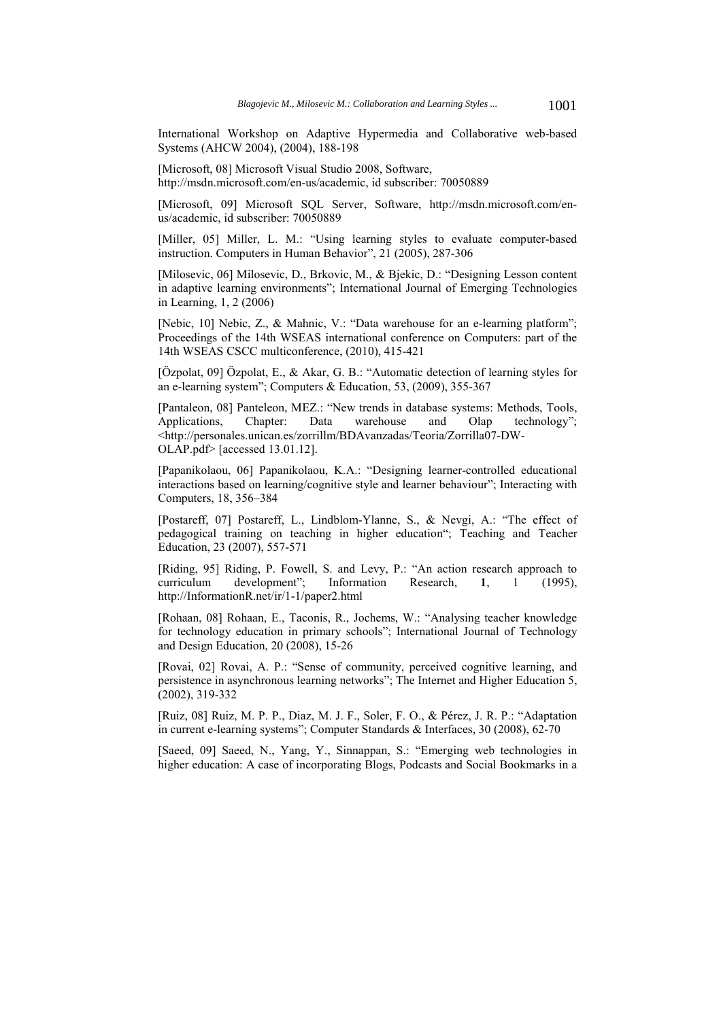International Workshop on Adaptive Hypermedia and Collaborative web-based Systems (AHCW 2004), (2004), 188-198

[Microsoft, 08] Microsoft Visual Studio 2008, Software, http://msdn.microsoft.com/en-us/academic, id subscriber: 70050889

[Microsoft, 09] Microsoft SQL Server, Software, http://msdn.microsoft.com/enus/academic, id subscriber: 70050889

[Miller, 05] Miller, L. M.: "Using learning styles to evaluate computer-based instruction. Computers in Human Behavior", 21 (2005), 287-306

[Milosevic, 06] Milosevic, D., Brkovic, M., & Bjekic, D.: "Designing Lesson content in adaptive learning environments"; International Journal of Emerging Technologies in Learning, 1, 2 (2006)

[Nebic, 10] Nebic, Z., & Mahnic, V.: "Data warehouse for an e-learning platform"; Proceedings of the 14th WSEAS international conference on Computers: part of the 14th WSEAS CSCC multiconference, (2010), 415-421

[Özpolat, 09] Özpolat, E., & Akar, G. B.: "Automatic detection of learning styles for an e-learning system"; Computers & Education, 53, (2009), 355-367

[Pantaleon, 08] Panteleon, MEZ.: "New trends in database systems: Methods, Tools, Applications, Chapter: Data warehouse and Olap technology"; <http://personales.unican.es/zorrillm/BDAvanzadas/Teoria/Zorrilla07-DW-OLAP.pdf> [accessed 13.01.12].

[Papanikolaou, 06] Papanikolaou, K.A.: "Designing learner-controlled educational interactions based on learning/cognitive style and learner behaviour"; Interacting with Computers, 18, 356–384

[Postareff, 07] Postareff, L., Lindblom-Ylanne, S., & Nevgi, A.: "The effect of pedagogical training on teaching in higher education"; Teaching and Teacher Education, 23 (2007), 557-571

[Riding, 95] Riding, P. Fowell, S. and Levy, P.: "An action research approach to curriculum development"; Information Research, **1**, 1 (1995), http://InformationR.net/ir/1-1/paper2.html

[Rohaan, 08] Rohaan, E., Taconis, R., Jochems, W.: "Analysing teacher knowledge for technology education in primary schools"; International Journal of Technology and Design Education, 20 (2008), 15-26

[Rovai, 02] Rovai, A. P.: "Sense of community, perceived cognitive learning, and persistence in asynchronous learning networks"; The Internet and Higher Education 5, (2002), 319-332

[Ruiz, 08] Ruiz, M. P. P., Diaz, M. J. F., Soler, F. O., & Pérez, J. R. P.: "Adaptation in current e-learning systems"; Computer Standards & Interfaces*,* 30 (2008), 62-70

[Saeed, 09] Saeed, N., Yang, Y., Sinnappan, S.: "Emerging web technologies in higher education: A case of incorporating Blogs, Podcasts and Social Bookmarks in a